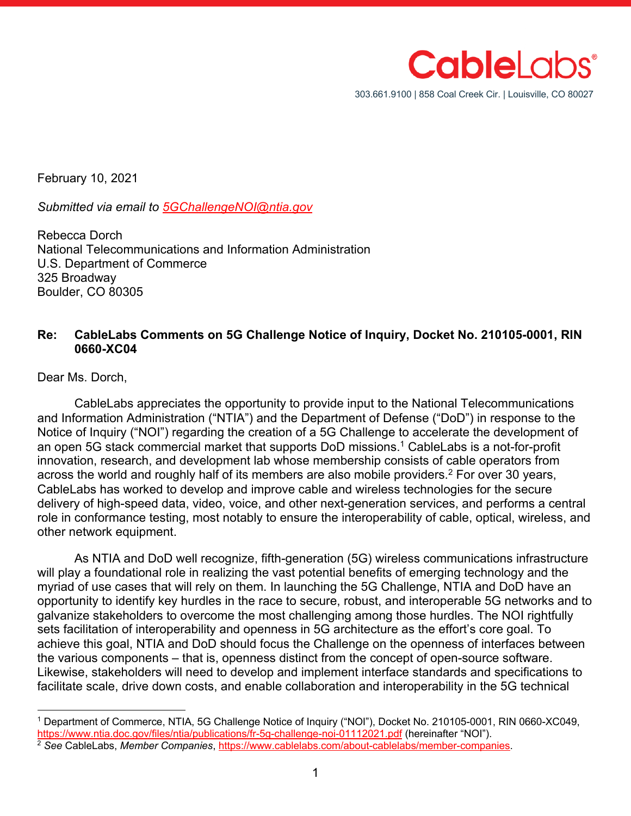

February 10, 2021

*Submitted via email to 5GChallengeNOI@ntia.gov*

Rebecca Dorch National Telecommunications and Information Administration U.S. Department of Commerce 325 Broadway Boulder, CO 80305

#### **Re: CableLabs Comments on 5G Challenge Notice of Inquiry, Docket No. 210105-0001, RIN 0660-XC04**

Dear Ms. Dorch,

CableLabs appreciates the opportunity to provide input to the National Telecommunications and Information Administration ("NTIA") and the Department of Defense ("DoD") in response to the Notice of Inquiry ("NOI") regarding the creation of a 5G Challenge to accelerate the development of an open 5G stack commercial market that supports DoD missions.<sup>1</sup> CableLabs is a not-for-profit innovation, research, and development lab whose membership consists of cable operators from across the world and roughly half of its members are also mobile providers. <sup>2</sup> For over 30 years, CableLabs has worked to develop and improve cable and wireless technologies for the secure delivery of high-speed data, video, voice, and other next-generation services, and performs a central role in conformance testing, most notably to ensure the interoperability of cable, optical, wireless, and other network equipment.

As NTIA and DoD well recognize, fifth-generation (5G) wireless communications infrastructure will play a foundational role in realizing the vast potential benefits of emerging technology and the myriad of use cases that will rely on them. In launching the 5G Challenge, NTIA and DoD have an opportunity to identify key hurdles in the race to secure, robust, and interoperable 5G networks and to galvanize stakeholders to overcome the most challenging among those hurdles. The NOI rightfully sets facilitation of interoperability and openness in 5G architecture as the effort's core goal. To achieve this goal, NTIA and DoD should focus the Challenge on the openness of interfaces between the various components – that is, openness distinct from the concept of open-source software. Likewise, stakeholders will need to develop and implement interface standards and specifications to facilitate scale, drive down costs, and enable collaboration and interoperability in the 5G technical

<sup>&</sup>lt;sup>1</sup> Department of Commerce, NTIA, 5G Challenge Notice of Inquiry ("NOI"), Docket No. 210105-0001, RIN 0660-XC049,<br>https://www.ntia.doc.gov/files/ntia/publications/fr-5g-challenge-noi-01112021.pdf (hereinafter "NOI").

<sup>&</sup>lt;sup>2</sup> See CableLabs, Member Companies, https://www.cablelabs.com/about-cablelabs/member-companies.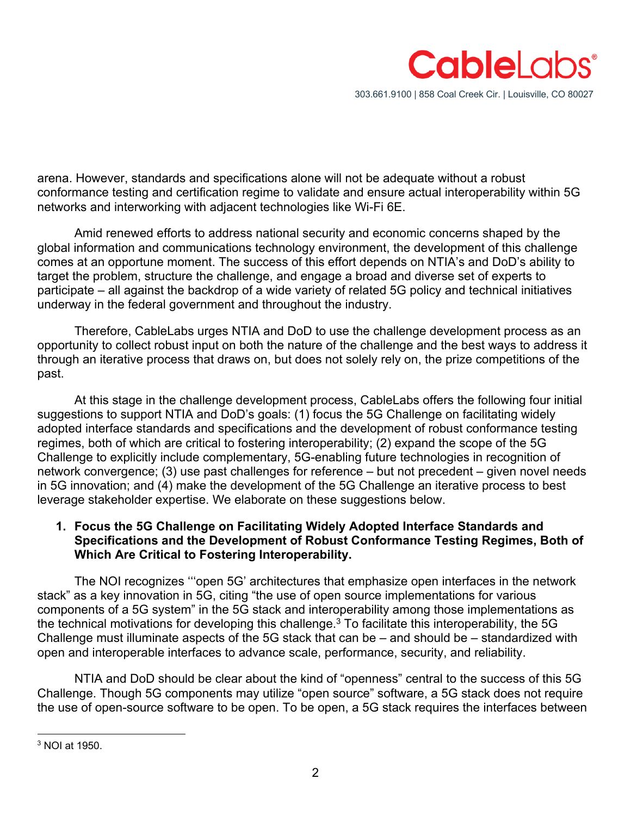

arena. However, standards and specifications alone will not be adequate without a robust conformance testing and certification regime to validate and ensure actual interoperability within 5G networks and interworking with adjacent technologies like Wi-Fi 6E.

Amid renewed efforts to address national security and economic concerns shaped by the global information and communications technology environment, the development of this challenge comes at an opportune moment. The success of this effort depends on NTIA's and DoD's ability to target the problem, structure the challenge, and engage a broad and diverse set of experts to participate – all against the backdrop of a wide variety of related 5G policy and technical initiatives underway in the federal government and throughout the industry.

Therefore, CableLabs urges NTIA and DoD to use the challenge development process as an opportunity to collect robust input on both the nature of the challenge and the best ways to address it through an iterative process that draws on, but does not solely rely on, the prize competitions of the past.

At this stage in the challenge development process, CableLabs offers the following four initial suggestions to support NTIA and DoD's goals: (1) focus the 5G Challenge on facilitating widely adopted interface standards and specifications and the development of robust conformance testing regimes, both of which are critical to fostering interoperability; (2) expand the scope of the 5G Challenge to explicitly include complementary, 5G-enabling future technologies in recognition of network convergence; (3) use past challenges for reference – but not precedent – given novel needs in 5G innovation; and (4) make the development of the 5G Challenge an iterative process to best leverage stakeholder expertise. We elaborate on these suggestions below.

# **1. Focus the 5G Challenge on Facilitating Widely Adopted Interface Standards and Specifications and the Development of Robust Conformance Testing Regimes, Both of Which Are Critical to Fostering Interoperability.**

The NOI recognizes '''open 5G' architectures that emphasize open interfaces in the network stack" as a key innovation in 5G, citing "the use of open source implementations for various components of a 5G system" in the 5G stack and interoperability among those implementations as the technical motivations for developing this challenge.<sup>3</sup> To facilitate this interoperability, the 5G Challenge must illuminate aspects of the 5G stack that can be – and should be – standardized with open and interoperable interfaces to advance scale, performance, security, and reliability.

NTIA and DoD should be clear about the kind of "openness" central to the success of this 5G Challenge. Though 5G components may utilize "open source" software, a 5G stack does not require the use of open-source software to be open. To be open, a 5G stack requires the interfaces between

<sup>3</sup> NOI at 1950.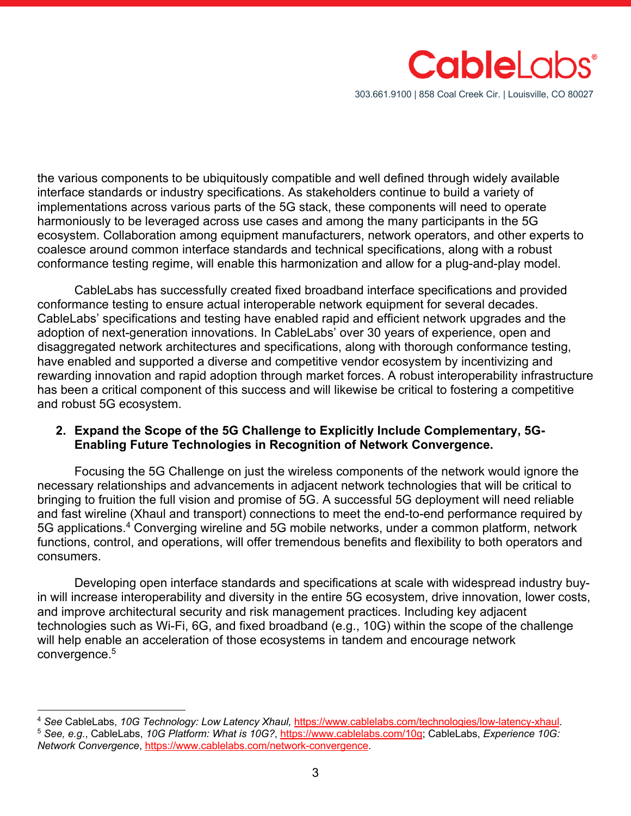

the various components to be ubiquitously compatible and well defined through widely available interface standards or industry specifications. As stakeholders continue to build a variety of implementations across various parts of the 5G stack, these components will need to operate harmoniously to be leveraged across use cases and among the many participants in the 5G ecosystem. Collaboration among equipment manufacturers, network operators, and other experts to coalesce around common interface standards and technical specifications, along with a robust conformance testing regime, will enable this harmonization and allow for a plug-and-play model.

CableLabs has successfully created fixed broadband interface specifications and provided conformance testing to ensure actual interoperable network equipment for several decades. CableLabs' specifications and testing have enabled rapid and efficient network upgrades and the adoption of next-generation innovations. In CableLabs' over 30 years of experience, open and disaggregated network architectures and specifications, along with thorough conformance testing, have enabled and supported a diverse and competitive vendor ecosystem by incentivizing and rewarding innovation and rapid adoption through market forces. A robust interoperability infrastructure has been a critical component of this success and will likewise be critical to fostering a competitive and robust 5G ecosystem.

### **2. Expand the Scope of the 5G Challenge to Explicitly Include Complementary, 5G-Enabling Future Technologies in Recognition of Network Convergence.**

Focusing the 5G Challenge on just the wireless components of the network would ignore the necessary relationships and advancements in adjacent network technologies that will be critical to bringing to fruition the full vision and promise of 5G. A successful 5G deployment will need reliable and fast wireline (Xhaul and transport) connections to meet the end-to-end performance required by 5G applications.4 Converging wireline and 5G mobile networks, under a common platform, network functions, control, and operations, will offer tremendous benefits and flexibility to both operators and consumers.

Developing open interface standards and specifications at scale with widespread industry buyin will increase interoperability and diversity in the entire 5G ecosystem, drive innovation, lower costs, and improve architectural security and risk management practices. Including key adjacent technologies such as Wi-Fi, 6G, and fixed broadband (e.g., 10G) within the scope of the challenge will help enable an acceleration of those ecosystems in tandem and encourage network convergence.5

<sup>&</sup>lt;sup>4</sup> See CableLabs, 10G Technology: Low Latency Xhaul, https://www.cablelabs.com/technologies/low-latency-xhaul.<br><sup>5</sup> See, e.g., CableLabs, 10G Platform: What is 10G?, https://www.cablelabs.com/10g; CableLabs, Experience 10G

*Network Convergence*, https://www.cablelabs.com/network-convergence.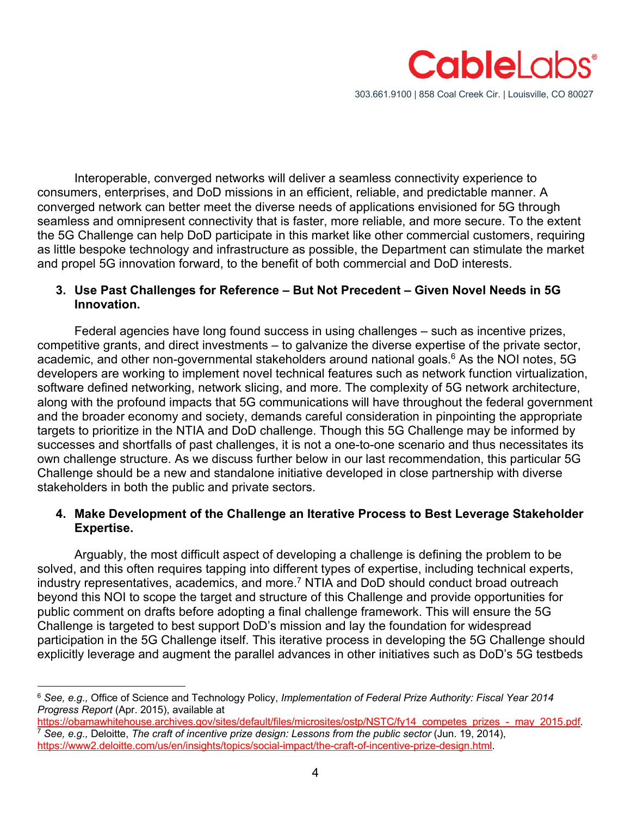

Interoperable, converged networks will deliver a seamless connectivity experience to consumers, enterprises, and DoD missions in an efficient, reliable, and predictable manner. A converged network can better meet the diverse needs of applications envisioned for 5G through seamless and omnipresent connectivity that is faster, more reliable, and more secure. To the extent the 5G Challenge can help DoD participate in this market like other commercial customers, requiring as little bespoke technology and infrastructure as possible, the Department can stimulate the market and propel 5G innovation forward, to the benefit of both commercial and DoD interests.

## **3. Use Past Challenges for Reference – But Not Precedent – Given Novel Needs in 5G Innovation.**

Federal agencies have long found success in using challenges – such as incentive prizes, competitive grants, and direct investments – to galvanize the diverse expertise of the private sector, academic, and other non-governmental stakeholders around national goals.<sup>6</sup> As the NOI notes, 5G developers are working to implement novel technical features such as network function virtualization, software defined networking, network slicing, and more. The complexity of 5G network architecture, along with the profound impacts that 5G communications will have throughout the federal government and the broader economy and society, demands careful consideration in pinpointing the appropriate targets to prioritize in the NTIA and DoD challenge. Though this 5G Challenge may be informed by successes and shortfalls of past challenges, it is not a one-to-one scenario and thus necessitates its own challenge structure. As we discuss further below in our last recommendation, this particular 5G Challenge should be a new and standalone initiative developed in close partnership with diverse stakeholders in both the public and private sectors.

# **4. Make Development of the Challenge an Iterative Process to Best Leverage Stakeholder Expertise.**

Arguably, the most difficult aspect of developing a challenge is defining the problem to be solved, and this often requires tapping into different types of expertise, including technical experts, industry representatives, academics, and more.<sup>7</sup> NTIA and DoD should conduct broad outreach beyond this NOI to scope the target and structure of this Challenge and provide opportunities for public comment on drafts before adopting a final challenge framework. This will ensure the 5G Challenge is targeted to best support DoD's mission and lay the foundation for widespread participation in the 5G Challenge itself. This iterative process in developing the 5G Challenge should explicitly leverage and augment the parallel advances in other initiatives such as DoD's 5G testbeds

 $\frac{7}{1}$  See, e.g., Deloitte, The craft of incentive prize design: Lessons from the public sector (Jun. 19, 2014), https://www2.deloitte.com/us/en/insights/topics/social-impact/the-craft-of-incentive-prize-design.html.

<sup>6</sup> *See, e.g.,* Office of Science and Technology Policy, *Implementation of Federal Prize Authority: Fiscal Year 2014 Progress Report* (Apr. 2015), available at